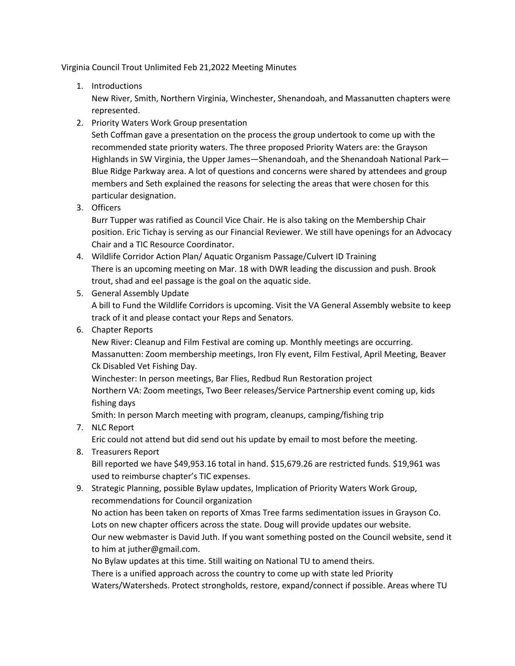Virginia Council Trout Unlimited Feb 21,2022 Meeting Minutes

1. Introductions

New River, Smith, Northern Virginia, Winchester, Shenandoah, and Massanutten chapters were represented.

2. Priority Waters Work Group presentation

Seth Coffman gave a presentation on the process the group undertook to come up with the recommended state priority waters. The three proposed Priority Waters are: the Grayson Highlands in SW Virginia, the Upper James—Shenandoah, and the Shenandoah National Park— Blue Ridge Parkway area. A lot of questions and concerns were shared by attendees and group members and Seth explained the reasons for selecting the areas that were chosen for this particular designation.

3. Officers

Burr Tupper was ratified as Council Vice Chair. He is also taking on the Membership Chair position. Eric Tichay is serving as our Financial Reviewer. We still have openings for an Advocacy Chair and a TIC Resource Coordinator.

4. Wildlife Corridor Action Plan/ Aquatic Organism Passage/Culvert ID Training There is an upcoming meeting on Mar. 18 with DWR leading the discussion and push. Brook trout, shad and eel passage is the goal on the aquatic side.

## 5. General Assembly Update

A bill to Fund the Wildlife Corridors is upcoming. Visit the VA General Assembly website to keep track of it and please contact your Reps and Senators.

6. Chapter Reports

New River: Cleanup and Film Festival are coming up. Monthly meetings are occurring. Massanutten: Zoom membership meetings, Iron Fly event, Film Festival, April Meeting, Beaver Ck Disabled Vet Fishing Day.

Winchester: In person meetings, Bar Flies, Redbud Run Restoration project Northern VA: Zoom meetings, Two Beer releases/Service Partnership event coming up, kids fishing days

Smith: In person March meeting with program, cleanups, camping/fishing trip

7. NLC Report

Eric could not attend but did send out his update by email to most before the meeting.

8. Treasurers Report

Bill reported we have \$49,953.16 total in hand. \$15,679.26 are restricted funds. \$19,961 was used to reimburse chapter's TIC expenses.

9. Strategic Planning, possible Bylaw updates, Implication of Priority Waters Work Group, recommendations for Council organization

No action has been taken on reports of Xmas Tree farms sedimentation issues in Grayson Co. Lots on new chapter officers across the state. Doug will provide updates our website. Our new webmaster is David Juth. If you want something posted on the Council website, send it to him at juther@gmail.com.

No Bylaw updates at this time. Still waiting on National TU to amend theirs.

There is a unified approach across the country to come up with state led Priority Waters/Watersheds. Protect strongholds, restore, expand/connect if possible. Areas where TU